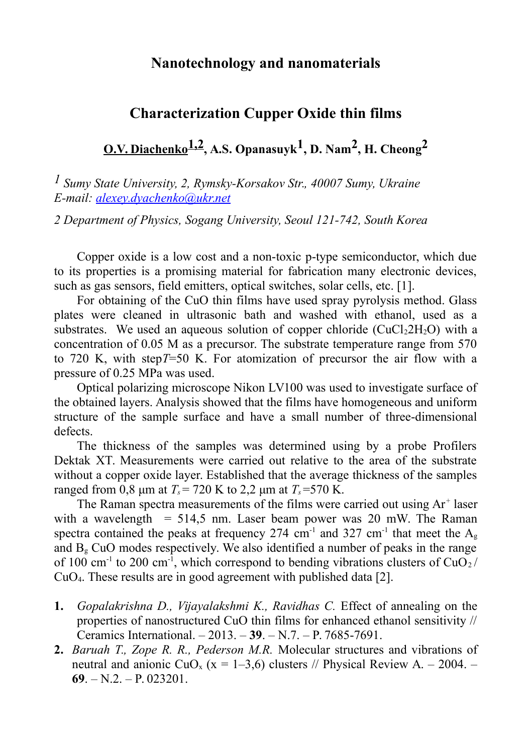## **Nanotechnology and nanomaterials**

## **Characterization Cupper Oxide thin films**

 **O.V. Diachenko1,2, A.S. Opanasuyk1 , D. Nam2 , H. Cheong2**

*1 Sumy State University, 2, Rymsky-Korsakov Str., 40007 Sumy, Ukraine E-mail: [alexey.dyachenko@ukr.net](mailto:alexey.dyachenko@ukr.net)*

*2 Department of Physics, Sogang University, Seoul 121-742, South Korea*

Copper oxide is a low cost and a non-toxic p-type semiconductor, which due to its properties is a promising material for fabrication many electronic devices, such as gas sensors, field emitters, optical switches, solar cells, etc. [1].

For obtaining of the CuO thin films have used spray pyrolysis method. Glass plates were cleaned in ultrasonic bath and washed with ethanol, used as a substrates. We used an aqueous solution of copper chloride ( $CuCl<sub>2</sub>2H<sub>2</sub>O$ ) with a concentration of 0.05 M as a precursor. The substrate temperature range from 570 to 720 K, with step*Т*=50 K. For atomization of precursor the air flow with a pressure of 0.25 MPa was used.

Optical polarizing microscope Nikon LV100 was used to investigate surface of the obtained layers. Analysis showed that the films have homogeneous and uniform structure of the sample surface and have a small number of three-dimensional defects.

The thickness of the samples was determined using by a probe Profilers Dektak XT. Measurements were carried out relative to the area of the substrate without a copper oxide layer. Established that the average thickness of the samples ranged from 0,8  $\mu$ m at  $T_s$  = 720 K to 2,2  $\mu$ m at  $T_s$  = 570 K.

The Raman spectra measurements of the films were carried out using  $Ar^+$  laser with a wavelength  $= 514.5$  nm. Laser beam power was 20 mW. The Raman spectra contained the peaks at frequency 274 cm<sup>-1</sup> and 327 cm<sup>-1</sup> that meet the  $A_g$ and  $B<sub>g</sub>$  CuO modes respectively. We also identified a number of peaks in the range of 100 cm<sup>-1</sup> to 200 cm<sup>-1</sup>, which correspond to bending vibrations clusters of  $CuO<sub>2</sub>$ / CuO4. These results are in good agreement with published data [2].

- **1.** *Gopalakrishna D., Vijayalakshmi K., Ravidhas C.* Effect of annealing on the properties of nanostructured CuO thin films for enhanced ethanol sensitivity // Ceramics International. – 2013. – **39**. – N.7. – P. 7685-7691.
- **2.** *Baruah T., Zope R. R., Pederson M.R.* Molecular structures and vibrations of neutral and anionic CuO<sub>x</sub> ( $x = 1-3,6$ ) clusters // Physical Review A. - 2004. -**69**. – N.2. – P. 023201.